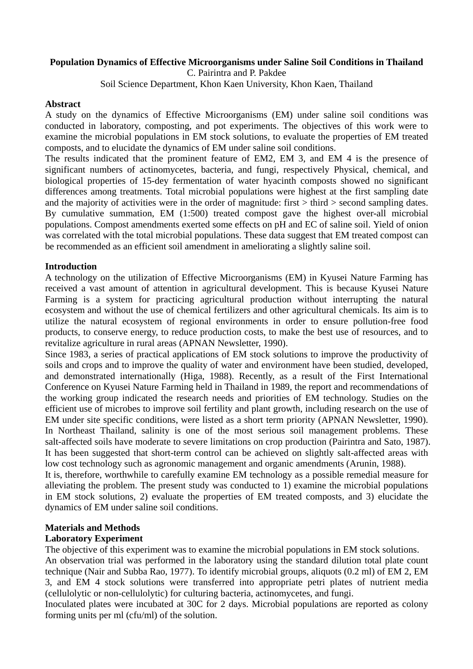# **Population Dynamics of Effective Microorganisms under Saline Soil Conditions in Thailand**

C. Pairintra and P. Pakdee

Soil Science Department, Khon Kaen University, Khon Kaen, Thailand

#### **Abstract**

A study on the dynamics of Effective Microorganisms (EM) under saline soil conditions was conducted in laboratory, composting, and pot experiments. The objectives of this work were to examine the microbial populations in EM stock solutions, to evaluate the properties of EM treated composts, and to elucidate the dynamics of EM under saline soil conditions.

The results indicated that the prominent feature of EM2, EM 3, and EM 4 is the presence of significant numbers of actinomycetes, bacteria, and fungi, respectively Physical, chemical, and biological properties of 15-dey fermentation of water hyacinth composts showed no significant differences among treatments. Total microbial populations were highest at the first sampling date and the majority of activities were in the order of magnitude: first > third > second sampling dates. By cumulative summation, EM (1:500) treated compost gave the highest over-all microbial populations. Compost amendments exerted some effects on pH and EC of saline soil. Yield of onion was correlated with the total microbial populations. These data suggest that EM treated compost can be recommended as an efficient soil amendment in ameliorating a slightly saline soil.

#### **Introduction**

A technology on the utilization of Effective Microorganisms (EM) in Kyusei Nature Farming has received a vast amount of attention in agricultural development. This is because Kyusei Nature Farming is a system for practicing agricultural production without interrupting the natural ecosystem and without the use of chemical fertilizers and other agricultural chemicals. Its aim is to utilize the natural ecosystem of regional environments in order to ensure pollution-free food products, to conserve energy, to reduce production costs, to make the best use of resources, and to revitalize agriculture in rural areas (APNAN Newsletter, 1990).

Since 1983, a series of practical applications of EM stock solutions to improve the productivity of soils and crops and to improve the quality of water and environment have been studied, developed, and demonstrated internationally (Higa, 1988). Recently, as a result of the First International Conference on Kyusei Nature Farming held in Thailand in 1989, the report and recommendations of the working group indicated the research needs and priorities of EM technology. Studies on the efficient use of microbes to improve soil fertility and plant growth, including research on the use of EM under site specific conditions, were listed as a short term priority (APNAN Newsletter, 1990). In Northeast Thailand, salinity is one of the most serious soil management problems. These salt-affected soils have moderate to severe limitations on crop production (Pairintra and Sato, 1987). It has been suggested that short-term control can be achieved on slightly salt-affected areas with low cost technology such as agronomic management and organic amendments (Arunin, 1988).

It is, therefore, worthwhile to carefully examine EM technology as a possible remedial measure for alleviating the problem. The present study was conducted to 1) examine the microbial populations in EM stock solutions, 2) evaluate the properties of EM treated composts, and 3) elucidate the dynamics of EM under saline soil conditions.

# **Materials and Methods**

# **Laboratory Experiment**

The objective of this experiment was to examine the microbial populations in EM stock solutions.

An observation trial was performed in the laboratory using the standard dilution total plate count technique (Nair and Subba Rao, 1977). To identify microbial groups, aliquots (0.2 ml) of EM 2, EM 3, and EM 4 stock solutions were transferred into appropriate petri plates of nutrient media (cellulolytic or non-cellulolytic) for culturing bacteria, actinomycetes, and fungi.

Inoculated plates were incubated at 30C for 2 days. Microbial populations are reported as colony forming units per ml (cfu/ml) of the solution.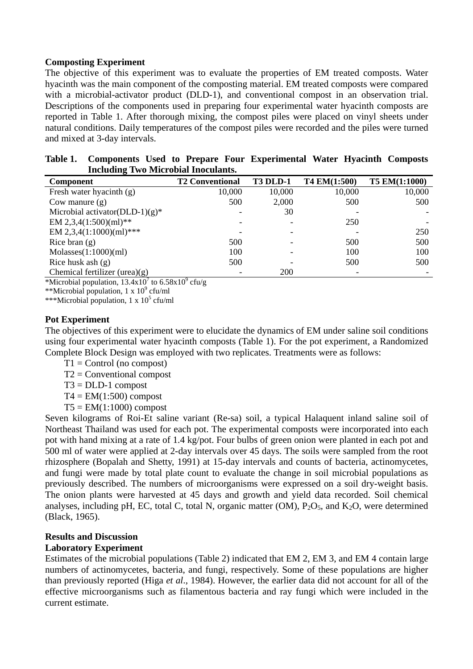## **Composting Experiment**

The objective of this experiment was to evaluate the properties of EM treated composts. Water hyacinth was the main component of the composting material. EM treated composts were compared with a microbial-activator product (DLD-1), and conventional compost in an observation trial. Descriptions of the components used in preparing four experimental water hyacinth composts are reported in Table 1. After thorough mixing, the compost piles were placed on vinyl sheets under natural conditions. Daily temperatures of the compost piles were recorded and the piles were turned and mixed at 3-day intervals.

| mergang Two meropial mocalants.    |                        |                 |              |               |  |  |  |
|------------------------------------|------------------------|-----------------|--------------|---------------|--|--|--|
| <b>Component</b>                   | <b>T2 Conventional</b> | <b>T3 DLD-1</b> | T4 EM(1:500) | T5 EM(1:1000) |  |  |  |
| Fresh water hyacinth (g)           | 10,000                 | 10,000          | 10,000       | 10,000        |  |  |  |
| Cow manure $(g)$                   | 500                    | 2,000           | 500          | 500           |  |  |  |
| Microbial activator(DLD-1) $(g)^*$ |                        | 30              |              |               |  |  |  |
| EM 2,3,4 $(1:500)$ (ml)**          |                        |                 | 250          |               |  |  |  |
| EM 2,3,4(1:1000)(ml)***            |                        |                 |              | 250           |  |  |  |
| Rice bran $(g)$                    | 500                    |                 | 500          | 500           |  |  |  |
| Molasses(1:1000)(ml)               | 100                    |                 | 100          | 100           |  |  |  |
| Rice husk ash $(g)$                | 500                    |                 | 500          | 500           |  |  |  |
| Chemical fertilizer (urea) $(g)$   |                        | 200             |              |               |  |  |  |

**Table 1. Components Used to Prepare Four Experimental Water Hyacinth Composts Including Two Microbial Inoculants.** 

\*Microbial population,  $13.4 \times 10^7$  to  $6.58 \times 10^9$  cfu/g

\*\*Microbial population, 1 x 10<sup>9</sup> cfu/ml

\*\*\*Microbial population, 1 x 10<sup>5</sup> cfu/ml

#### **Pot Experiment**

The objectives of this experiment were to elucidate the dynamics of EM under saline soil conditions using four experimental water hyacinth composts (Table 1). For the pot experiment, a Randomized Complete Block Design was employed with two replicates. Treatments were as follows:

- $T1 =$ Control (no compost)
- T2 = Conventional compost

 $T3 = DLD-1$  compost

- $T4 = EM(1:500)$  compost
- $T5 = EM(1:1000)$  compost

Seven kilograms of Roi-Et saline variant (Re-sa) soil, a typical Halaquent inland saline soil of Northeast Thailand was used for each pot. The experimental composts were incorporated into each pot with hand mixing at a rate of 1.4 kg/pot. Four bulbs of green onion were planted in each pot and 500 ml of water were applied at 2-day intervals over 45 days. The soils were sampled from the root rhizosphere (Bopalah and Shetty, 1991) at 15-day intervals and counts of bacteria, actinomycetes, and fungi were made by total plate count to evaluate the change in soil microbial populations as previously described. The numbers of microorganisms were expressed on a soil dry-weight basis. The onion plants were harvested at 45 days and growth and yield data recorded. Soil chemical analyses, including pH, EC, total C, total N, organic matter  $(OM)$ ,  $P_2O_5$ , and  $K_2O$ , were determined (Black, 1965).

# **Results and Discussion**

#### **Laboratory Experiment**

Estimates of the microbial populations (Table 2) indicated that EM 2, EM 3, and EM 4 contain large numbers of actinomycetes, bacteria, and fungi, respectively. Some of these populations are higher than previously reported (Higa *et al*., 1984). However, the earlier data did not account for all of the effective microorganisms such as filamentous bacteria and ray fungi which were included in the current estimate.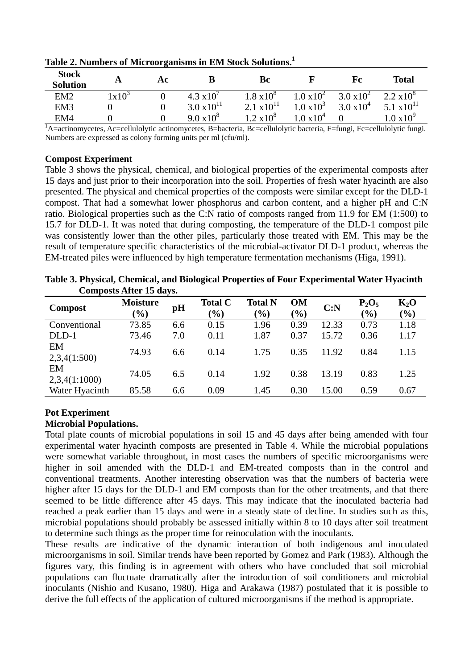|                                 |          | -  |                      |                      |                     |                     |                               |
|---------------------------------|----------|----|----------------------|----------------------|---------------------|---------------------|-------------------------------|
| <b>Stock</b><br><b>Solution</b> | A        | Aс | В                    | Вc                   |                     | Fc                  | <b>Total</b>                  |
| EM <sub>2</sub>                 | $1x10^3$ |    | 4.3 $x10'$           | $1.8 \times 10^{8}$  | $1.0 \times 10^{2}$ | $3.0 \times 10^{2}$ | $2.2 \times 10^8$             |
| EM <sub>3</sub>                 |          |    | $3.0 \times 10^{11}$ | $2.1 \times 10^{11}$ | $1.0 \times 10^{3}$ | $3.0 \times 10^{4}$ | 5.1 $\times$ 10 <sup>11</sup> |
| EM4                             |          |    | $9.0 \times 10^8$    | $1.2 \times 10^8$    | $1.0 \times 10^{4}$ |                     | $.0 \times 10^{9}$            |

**Table 2. Numbers of Microorganisms in EM Stock Solutions.1**

<sup>1</sup>A=actinomycetes, Ac=cellulolytic actinomycetes, B=bacteria, Bc=cellulolytic bacteria, F=fungi, Fc=cellulolytic fungi. Numbers are expressed as colony forming units per ml (cfu/ml).

# **Compost Experiment**

Table 3 shows the physical, chemical, and biological properties of the experimental composts after 15 days and just prior to their incorporation into the soil. Properties of fresh water hyacinth are also presented. The physical and chemical properties of the composts were similar except for the DLD-1 compost. That had a somewhat lower phosphorus and carbon content, and a higher pH and C:N ratio. Biological properties such as the C:N ratio of composts ranged from 11.9 for EM (1:500) to 15.7 for DLD-1. It was noted that during composting, the temperature of the DLD-1 compost pile was consistently lower than the other piles, particularly those treated with EM. This may be the result of temperature specific characteristics of the microbial-activator DLD-1 product, whereas the EM-treated piles were influenced by high temperature fermentation mechanisms (Higa, 1991).

| Table 3. Physical, Chemical, and Biological Properties of Four Experimental Water Hyacinth |  |
|--------------------------------------------------------------------------------------------|--|
| <b>Composts After 15 days.</b>                                                             |  |

| <b>Compost</b>      | <b>Moisture</b><br>$(\%)$ | pH  | <b>Total C</b><br>$(\%)$ | <b>Total N</b><br>$\frac{1}{2}$ | <b>OM</b><br>$(\%)$ | C: N  | $P_2O_5$<br>$\frac{9}{0}$ | $K_2O$<br>$(\%)$ |
|---------------------|---------------------------|-----|--------------------------|---------------------------------|---------------------|-------|---------------------------|------------------|
| Conventional        | 73.85                     | 6.6 | 0.15                     | 1.96                            | 0.39                | 12.33 | 0.73                      | 1.18             |
| $DLD-1$             | 73.46                     | 7.0 | 0.11                     | 1.87                            | 0.37                | 15.72 | 0.36                      | 1.17             |
| EM<br>2,3,4(1:500)  | 74.93                     | 6.6 | 0.14                     | 1.75                            | 0.35                | 11.92 | 0.84                      | 1.15             |
| EM<br>2,3,4(1:1000) | 74.05                     | 6.5 | 0.14                     | 1.92                            | 0.38                | 13.19 | 0.83                      | 1.25             |
| Water Hyacinth      | 85.58                     | 6.6 | 0.09                     | 1.45                            | 0.30                | 15.00 | 0.59                      | 0.67             |

# **Pot Experiment**

# **Microbial Populations.**

Total plate counts of microbial populations in soil 15 and 45 days after being amended with four experimental water hyacinth composts are presented in Table 4. While the microbial populations were somewhat variable throughout, in most cases the numbers of specific microorganisms were higher in soil amended with the DLD-1 and EM-treated composts than in the control and conventional treatments. Another interesting observation was that the numbers of bacteria were higher after 15 days for the DLD-1 and EM composts than for the other treatments, and that there seemed to be little difference after 45 days. This may indicate that the inoculated bacteria had reached a peak earlier than 15 days and were in a steady state of decline. In studies such as this, microbial populations should probably be assessed initially within 8 to 10 days after soil treatment to determine such things as the proper time for reinoculation with the inoculants.

These results are indicative of the dynamic interaction of both indigenous and inoculated microorganisms in soil. Similar trends have been reported by Gomez and Park (1983). Although the figures vary, this finding is in agreement with others who have concluded that soil microbial populations can fluctuate dramatically after the introduction of soil conditioners and microbial inoculants (Nishio and Kusano, 1980). Higa and Arakawa (1987) postulated that it is possible to derive the full effects of the application of cultured microorganisms if the method is appropriate.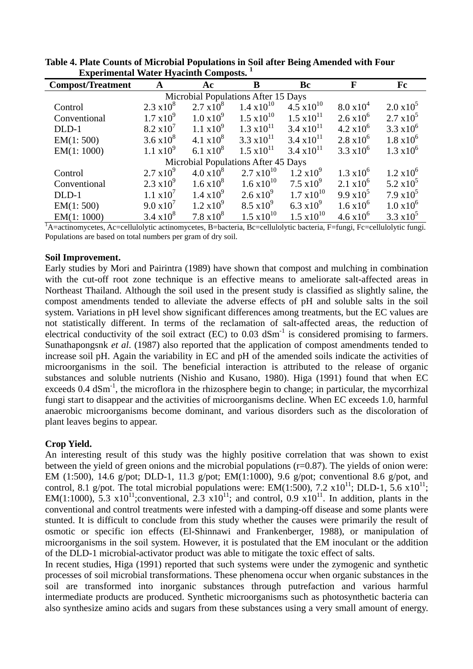| <b>Compost/Treatment</b>            | $\mathbf A$          | Ac                  | B                                   | Bc                   | F                   | Fc                  |  |  |
|-------------------------------------|----------------------|---------------------|-------------------------------------|----------------------|---------------------|---------------------|--|--|
| Microbial Populations After 15 Days |                      |                     |                                     |                      |                     |                     |  |  |
| Control                             | $2.3 \times 10^8$    | $2.7 \times 10^8$   | $1.4 \times 10^{10}$                | $4.5 \times 10^{10}$ | $8.0 \times 10^4$   | $2.0 \times 10^5$   |  |  |
| Conventional                        | $1.7 \times 10^{9}$  | $1.0 \times 10^{9}$ | $1.5 \times 10^{10}$                | $1.5 \times 10^{11}$ | $2.6 \times 10^{6}$ | $2.7 \times 10^5$   |  |  |
| $DLD-1$                             | $8.2 \times 10^{7}$  | $1.1 \times 10^{9}$ | $1.3 \times 10^{11}$                | $3.4 \times 10^{11}$ | $4.2 \times 10^6$   | $3.3 \times 10^6$   |  |  |
| EM(1:500)                           | $3.6 \times 10^8$    | $4.1 \times 10^8$   | $3.3 \times 10^{11}$                | $3.4 \times 10^{11}$ | $2.8 \times 10^6$   | $1.8 \times 10^6$   |  |  |
| EM(1:1000)                          | $1.1 \text{ x} 10^9$ | 6.1 $x10^8$         | $1.5 \times 10^{11}$                | $3.4 \times 10^{11}$ | $3.3 \times 10^{6}$ | $1.3 \times 10^{6}$ |  |  |
|                                     |                      |                     | Microbial Populations After 45 Days |                      |                     |                     |  |  |
| Control                             | $2.7 \times 10^{9}$  | $4.0 \times 10^8$   | $2.7 \times 10^{10}$                | $1.2 \times 10^{9}$  | $1.3 \times 10^6$   | $1.2 \times 10^6$   |  |  |
| Conventional                        | $2.3 \times 10^{9}$  | $1.6 \times 10^8$   | $1.6 \times 10^{10}$                | $7.5 \times 10^{9}$  | $2.1 \times 10^{6}$ | $5.2 \times 10^5$   |  |  |
| $DLD-1$                             | $1.1 \text{ x} 10^7$ | $1.4 \times 10^{9}$ | $2.6 \times 10^{9}$                 | $1.7 \times 10^{10}$ | $9.9 \times 10^5$   | $7.9 \times 10^5$   |  |  |
| EM(1:500)                           | $9.0 \times 10^{7}$  | $1.2 \times 10^{9}$ | $8.5 \times 10^{9}$                 | 6.3 $x10^9$          | $1.6 \times 10^{6}$ | $1.0 \times 10^6$   |  |  |
| EM(1:1000)                          | $3.4 \times 10^8$    | $7.8 \times 10^8$   | $1.5 \times 10^{10}$                | $1.5 \times 10^{10}$ | $4.6 \times 10^{6}$ | $3.3 \times 10^5$   |  |  |

**Table 4. Plate Counts of Microbial Populations in Soil after Being Amended with Four Experimental Water Hyacinth Composts. 1**

<sup>1</sup>A=actinomycetes, Ac=cellulolytic actinomycetes, B=bacteria, Bc=cellulolytic bacteria, F=fungi, Fc=cellulolytic fungi. Populations are based on total numbers per gram of dry soil.

# **Soil Improvement.**

Early studies by Mori and Pairintra (1989) have shown that compost and mulching in combination with the cut-off root zone technique is an effective means to ameliorate salt-affected areas in Northeast Thailand. Although the soil used in the present study is classified as slightly saline, the compost amendments tended to alleviate the adverse effects of pH and soluble salts in the soil system. Variations in pH level show significant differences among treatments, but the EC values are not statistically different. In terms of the reclamation of salt-affected areas, the reduction of electrical conductivity of the soil extract  $(EC)$  to 0.03 dSm<sup>-1</sup> is considered promising to farmers. Sunathapongsnk *et al*. (1987) also reported that the application of compost amendments tended to increase soil pH. Again the variability in EC and pH of the amended soils indicate the activities of microorganisms in the soil. The beneficial interaction is attributed to the release of organic substances and soluble nutrients (Nishio and Kusano, 1980). Higa (1991) found that when EC exceeds  $0.4$  dSm<sup>-1</sup>, the microflora in the rhizosphere begin to change; in particular, the mycorrhizal fungi start to disappear and the activities of microorganisms decline. When EC exceeds 1.0, harmful anaerobic microorganisms become dominant, and various disorders such as the discoloration of plant leaves begins to appear.

# **Crop Yield.**

An interesting result of this study was the highly positive correlation that was shown to exist between the yield of green onions and the microbial populations (r=0.87). The yields of onion were: EM (1:500), 14.6 g/pot; DLD-1, 11.3 g/pot; EM(1:1000), 9.6 g/pot; conventional 8.6 g/pot, and control, 8.1 g/pot. The total microbial populations were: EM(1:500), 7.2  $\times 10^{11}$ ; DLD-1, 5.6  $\times 10^{11}$ ; EM(1:1000), 5.3  $\times 10^{11}$ ; conventional, 2.3  $\times 10^{11}$ ; and control, 0.9  $\times 10^{11}$ . In addition, plants in the conventional and control treatments were infested with a damping-off disease and some plants were stunted. It is difficult to conclude from this study whether the causes were primarily the result of osmotic or specific ion effects (El-Shinnawi and Frankenberger, 1988), or manipulation of microorganisms in the soil system. However, it is postulated that the EM inoculant or the addition of the DLD-1 microbial-activator product was able to mitigate the toxic effect of salts.

In recent studies, Higa (1991) reported that such systems were under the zymogenic and synthetic processes of soil microbial transformations. These phenomena occur when organic substances in the soil are transformed into inorganic substances through putrefaction and various harmful intermediate products are produced. Synthetic microorganisms such as photosynthetic bacteria can also synthesize amino acids and sugars from these substances using a very small amount of energy.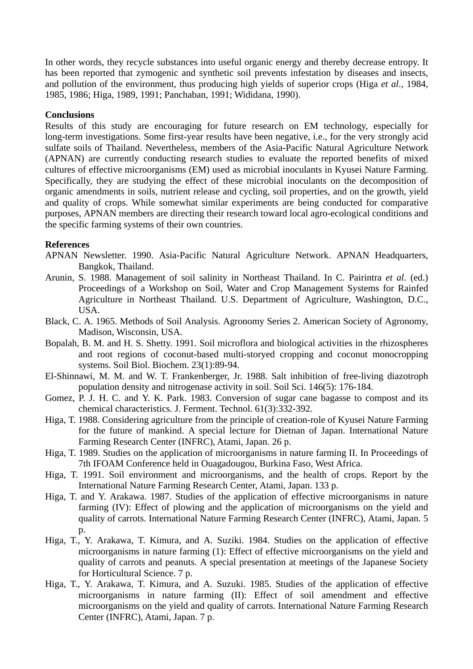In other words, they recycle substances into useful organic energy and thereby decrease entropy. It has been reported that zymogenic and synthetic soil prevents infestation by diseases and insects, and pollution of the environment, thus producing high yields of superior crops (Higa *et al*., 1984, 1985, 1986; Higa, 1989, 1991; Panchaban, 1991; Wididana, 1990).

#### **Conclusions**

Results of this study are encouraging for future research on EM technology, especially for long-term investigations. Some first-year results have been negative, i.e., for the very strongly acid sulfate soils of Thailand. Nevertheless, members of the Asia-Pacific Natural Agriculture Network (APNAN) are currently conducting research studies to evaluate the reported benefits of mixed cultures of effective microorganisms (EM) used as microbial inoculants in Kyusei Nature Farming. Specifically, they are studying the effect of these microbial inoculants on the decomposition of organic amendments in soils, nutrient release and cycling, soil properties, and on the growth, yield and quality of crops. While somewhat similar experiments are being conducted for comparative purposes, APNAN members are directing their research toward local agro-ecological conditions and the specific farming systems of their own countries.

#### **References**

- APNAN Newsletter. 1990. Asia-Pacific Natural Agriculture Network. APNAN Headquarters, Bangkok, Thailand.
- Arunin, S. 1988. Management of soil salinity in Northeast Thailand. In C. Pairintra *et al*. (ed.) Proceedings of a Workshop on Soil, Water and Crop Management Systems for Rainfed Agriculture in Northeast Thailand. U.S. Department of Agriculture, Washington, D.C., USA.
- Black, C. A. 1965. Methods of Soil Analysis. Agronomy Series 2. American Society of Agronomy, Madison, Wisconsin, USA.
- Bopalah, B. M. and H. S. Shetty. 1991. Soil microflora and biological activities in the rhizospheres and root regions of coconut-based multi-storyed cropping and coconut monocropping systems. Soil Biol. Biochem. 23(1):89-94.
- El-Shinnawi, M. M. and W. T. Frankenberger, Jr. 1988. Salt inhibition of free-living diazotroph population density and nitrogenase activity in soil. Soil Sci. 146(5): 176-184.
- Gomez, P. J. H. C. and Y. K. Park. 1983. Conversion of sugar cane bagasse to compost and its chemical characteristics. J. Ferment. Technol. 61(3):332-392.
- Higa, T. 1988. Considering agriculture from the principle of creation-role of Kyusei Nature Farming for the future of mankind. A special lecture for Dietnan of Japan. International Nature Farming Research Center (INFRC), Atami, Japan. 26 p.
- Higa, T. 1989. Studies on the application of microorganisms in nature farming II. In Proceedings of 7th IFOAM Conference held in Ouagadougou, Burkina Faso, West Africa.
- Higa, T. 1991. Soil environment and microorganisms, and the health of crops. Report by the International Nature Farming Research Center, Atami, Japan. 133 p.
- Higa, T. and Y. Arakawa. 1987. Studies of the application of effective microorganisms in nature farming (IV): Effect of plowing and the application of microorganisms on the yield and quality of carrots. International Nature Farming Research Center (INFRC), Atami, Japan. 5  $p_{\cdot}$
- Higa, T., Y. Arakawa, T. Kimura, and A. Suziki. 1984. Studies on the application of effective microorganisms in nature farming (1): Effect of effective microorganisms on the yield and quality of carrots and peanuts. A special presentation at meetings of the Japanese Society for Horticultural Science. 7 p.
- Higa, T., Y. Arakawa, T. Kimura, and A. Suzuki. 1985. Studies of the application of effective microorganisms in nature farming (II): Effect of soil amendment and effective microorganisms on the yield and quality of carrots. International Nature Farming Research Center (INFRC), Atami, Japan. 7 p.